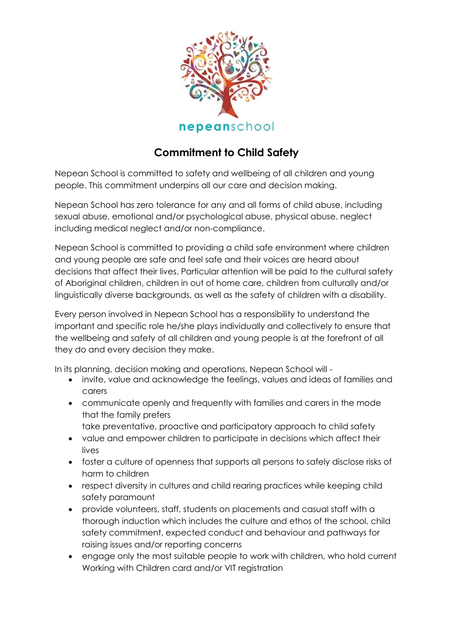

## **Commitment to Child Safety**

Nepean School is committed to safety and wellbeing of all children and young people. This commitment underpins all our care and decision making.

Nepean School has zero tolerance for any and all forms of child abuse, including sexual abuse, emotional and/or psychological abuse, physical abuse, neglect including medical neglect and/or non-compliance.

Nepean School is committed to providing a child safe environment where children and young people are safe and feel safe and their voices are heard about decisions that affect their lives. Particular attention will be paid to the cultural safety of Aboriginal children, children in out of home care, children from culturally and/or linguistically diverse backgrounds, as well as the safety of children with a disability.

Every person involved in Nepean School has a responsibility to understand the important and specific role he/she plays individually and collectively to ensure that the wellbeing and safety of all children and young people is at the forefront of all they do and every decision they make.

In its planning, decision making and operations, Nepean School will -

- invite, value and acknowledge the feelings, values and ideas of families and carers
- communicate openly and frequently with families and carers in the mode that the family prefers
	- take preventative, proactive and participatory approach to child safety
- value and empower children to participate in decisions which affect their lives
- foster a culture of openness that supports all persons to safely disclose risks of harm to children
- respect diversity in cultures and child rearing practices while keeping child safety paramount
- provide volunteers, staff, students on placements and casual staff with a thorough induction which includes the culture and ethos of the school, child safety commitment, expected conduct and behaviour and pathways for raising issues and/or reporting concerns
- engage only the most suitable people to work with children, who hold current Working with Children card and/or VIT registration